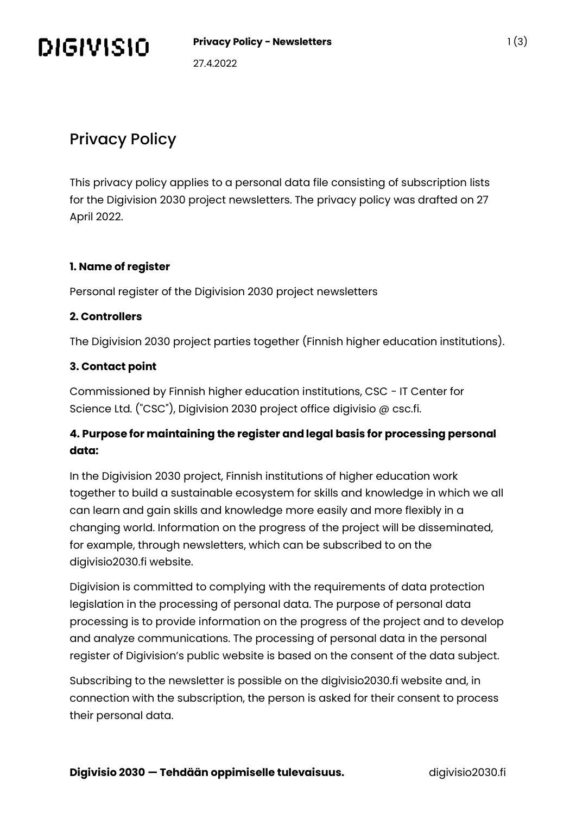

# Privacy Policy

This privacy policy applies to a personal data file consisting of subscription lists for the Digivision 2030 project newsletters. The privacy policy was drafted on 27 April 2022.

# **1. Name of register**

Personal register of the Digivision 2030 project newsletters

# **2. Controllers**

The Digivision 2030 project parties together (Finnish higher education institutions).

# **3. Contact point**

Commissioned by Finnish higher education institutions, CSC - IT Center for Science Ltd. ("CSC"), Digivision 2030 project office digivisio @ csc.fi.

# **4. Purpose for maintaining the register and legal basis for processing personal data:**

In the Digivision 2030 project, Finnish institutions of higher education work together to build a sustainable ecosystem for skills and knowledge in which we all can learn and gain skills and knowledge more easily and more flexibly in a changing world. Information on the progress of the project will be disseminated, for example, through newsletters, which can be subscribed to on the digivisio2030.fi website.

Digivision is committed to complying with the requirements of data protection legislation in the processing of personal data. The purpose of personal data processing is to provide information on the progress of the project and to develop and analyze communications. The processing of personal data in the personal register of Digivision's public website is based on the consent of the data subject.

Subscribing to the newsletter is possible on the digivisio2030.fi website and, in connection with the subscription, the person is asked for their consent to process their personal data.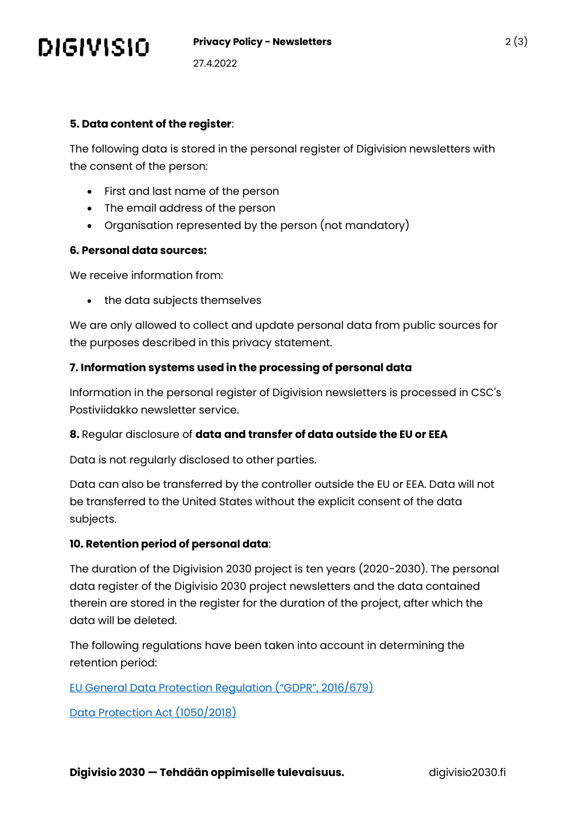

27.4.2022

#### **5. Data content of the register**:

The following data is stored in the personal register of Digivision newsletters with the consent of the person:

- First and last name of the person
- The email address of the person
- Organisation represented by the person (not mandatory)

#### **6. Personal data sources:**

We receive information from:

• the data subjects themselves

We are only allowed to collect and update personal data from public sources for the purposes described in this privacy statement.

# **7. Information systems used in the processing of personal data**

Information in the personal register of Digivision newsletters is processed in CSC's Postiviidakko newsletter service.

#### **8.** Regular disclosure of **data and transfer of data outside the EU or EEA**

Data is not regularly disclosed to other parties.

Data can also be transferred by the controller outside the EU or EEA. Data will not be transferred to the United States without the explicit consent of the data subjects.

# **10. Retention period of personal data**:

The duration of the Digivision 2030 project is ten years (2020-2030). The personal data register of the Digivisio 2030 project newsletters and the data contained therein are stored in the register for the duration of the project, after which the data will be deleted.

The following regulations have been taken into account in determining the retention period:

[EU General Data Protection Regulation \("GDPR", 2016/679\)](https://eur-lex.europa.eu/legal-content/FI/TXT/?uri=CELEX:32016R0679)

[Data Protection Act \(1050/2018\)](https://www.finlex.fi/en/laki/kaannokset/2018/20181050)